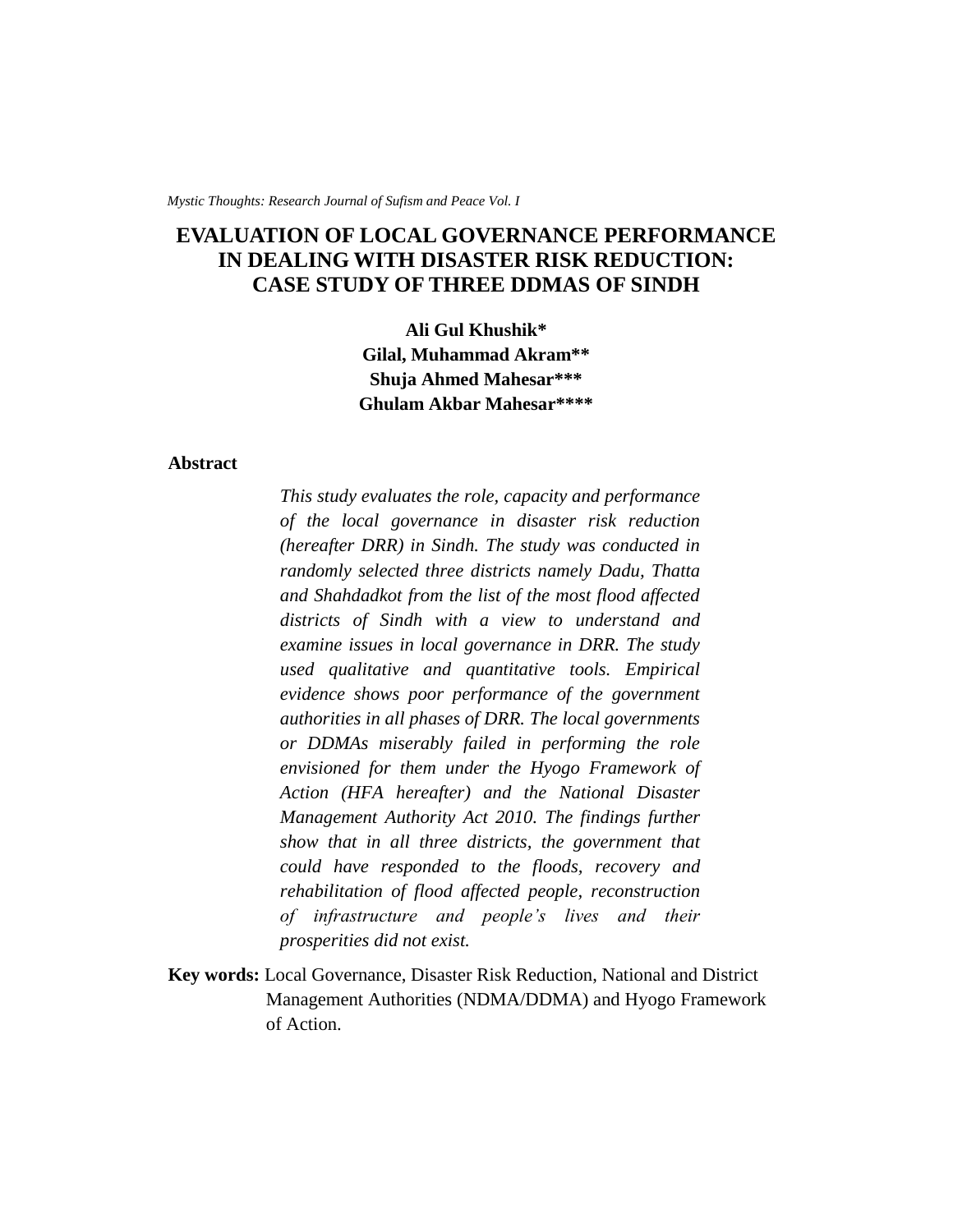*Mystic Thoughts: Research Journal of Sufism and Peace Vol. I*

# **EVALUATION OF LOCAL GOVERNANCE PERFORMANCE IN DEALING WITH DISASTER RISK REDUCTION: CASE STUDY OF THREE DDMAS OF SINDH**

**Ali Gul Khushik\* Gilal, Muhammad Akram\*\* Shuja Ahmed Mahesar\*\*\* Ghulam Akbar Mahesar\*\*\*\***

### **Abstract**

*This study evaluates the role, capacity and performance of the local governance in disaster risk reduction (hereafter DRR) in Sindh. The study was conducted in randomly selected three districts namely Dadu, Thatta and Shahdadkot from the list of the most flood affected districts of Sindh with a view to understand and examine issues in local governance in DRR. The study used qualitative and quantitative tools. Empirical evidence shows poor performance of the government authorities in all phases of DRR. The local governments or DDMAs miserably failed in performing the role envisioned for them under the Hyogo Framework of Action (HFA hereafter) and the National Disaster Management Authority Act 2010. The findings further show that in all three districts, the government that could have responded to the floods, recovery and rehabilitation of flood affected people, reconstruction of infrastructure and people's lives and their prosperities did not exist.* 

**Key words:** Local Governance, Disaster Risk Reduction, National and District Management Authorities (NDMA/DDMA) and Hyogo Framework of Action.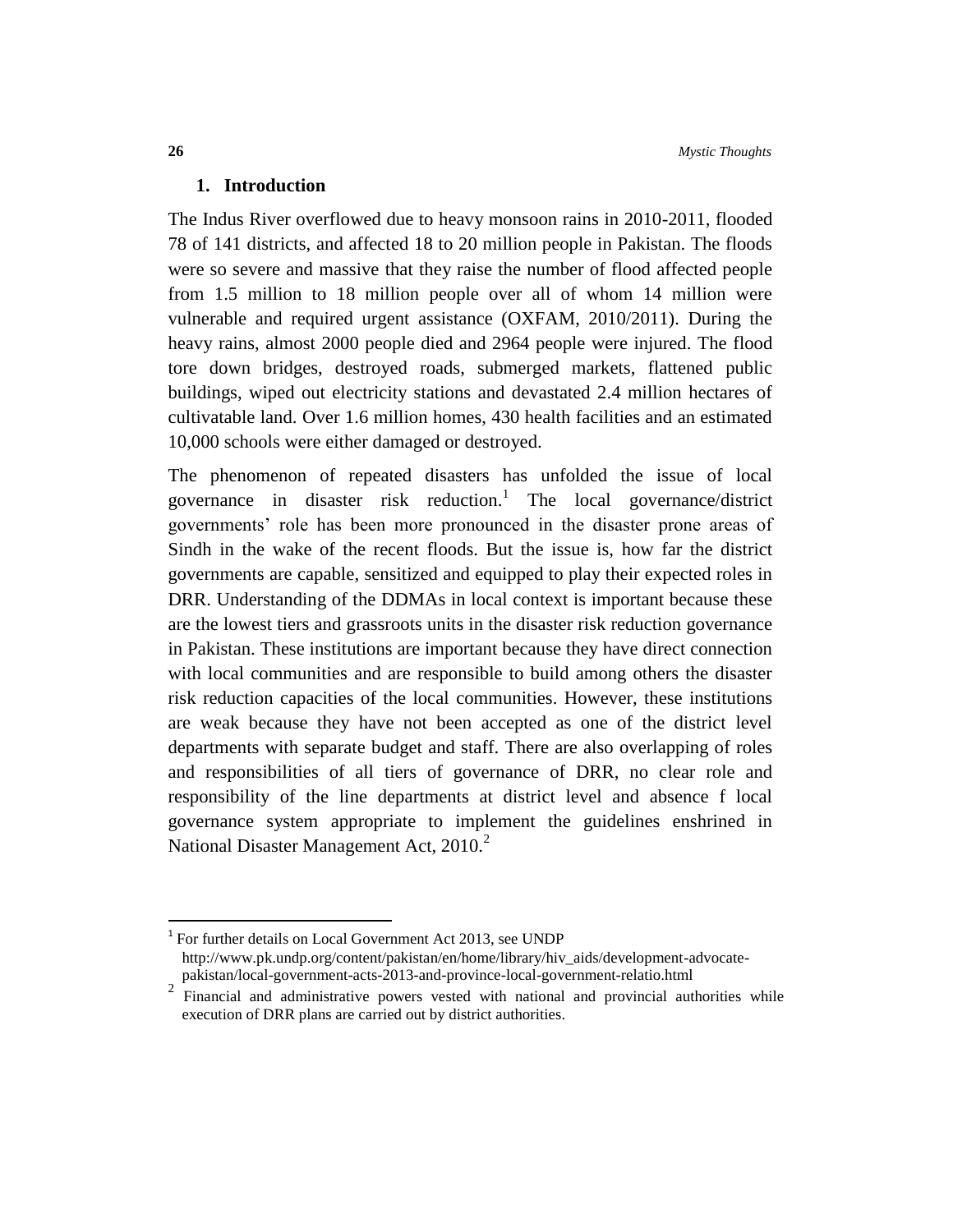# **1. Introduction**

The Indus River overflowed due to heavy monsoon rains in 2010-2011, flooded 78 of 141 districts, and affected 18 to 20 million people in Pakistan. The floods were so severe and massive that they raise the number of flood affected people from 1.5 million to 18 million people over all of whom 14 million were vulnerable and required urgent assistance (OXFAM, 2010/2011). During the heavy rains, almost 2000 people died and 2964 people were injured. The flood tore down bridges, destroyed roads, submerged markets, flattened public buildings, wiped out electricity stations and devastated 2.4 million hectares of cultivatable land. Over 1.6 million homes, 430 health facilities and an estimated 10,000 schools were either damaged or destroyed.

The phenomenon of repeated disasters has unfolded the issue of local governance in disaster risk reduction.<sup>1</sup> The local governance/district governments' role has been more pronounced in the disaster prone areas of Sindh in the wake of the recent floods. But the issue is, how far the district governments are capable, sensitized and equipped to play their expected roles in DRR. Understanding of the DDMAs in local context is important because these are the lowest tiers and grassroots units in the disaster risk reduction governance in Pakistan. These institutions are important because they have direct connection with local communities and are responsible to build among others the disaster risk reduction capacities of the local communities. However, these institutions are weak because they have not been accepted as one of the district level departments with separate budget and staff. There are also overlapping of roles and responsibilities of all tiers of governance of DRR, no clear role and responsibility of the line departments at district level and absence f local governance system appropriate to implement the guidelines enshrined in National Disaster Management Act,  $2010<sup>2</sup>$ 

 $\overline{a}$ 

<sup>&</sup>lt;sup>1</sup> For further details on Local Government Act 2013, see UNDP http://www.pk.undp.org/content/pakistan/en/home/library/hiv\_aids/development-advocatepakistan/local-government-acts-2013-and-province-local-government-relatio.html

<sup>2</sup> Financial and administrative powers vested with national and provincial authorities while execution of DRR plans are carried out by district authorities.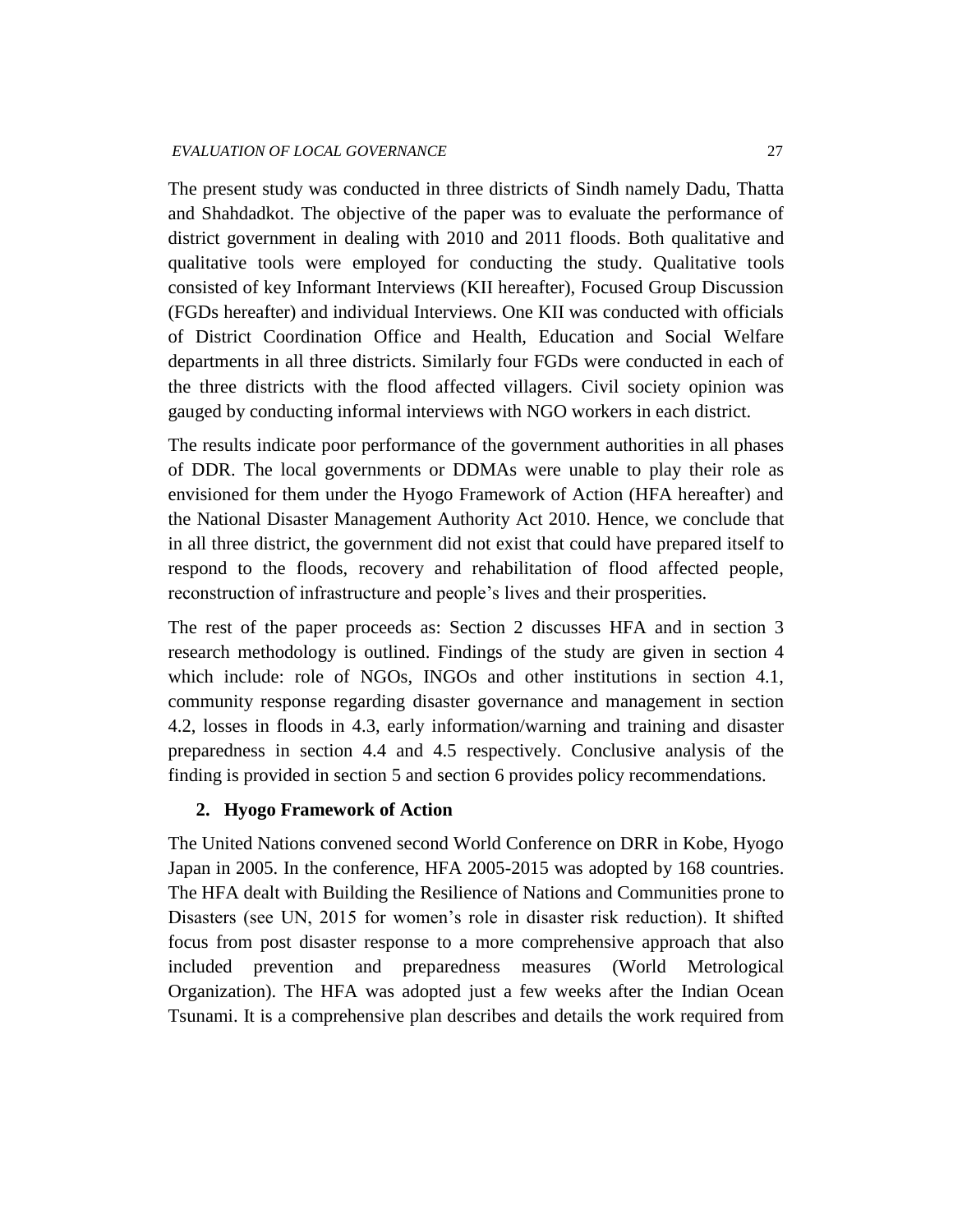The present study was conducted in three districts of Sindh namely Dadu, Thatta and Shahdadkot. The objective of the paper was to evaluate the performance of district government in dealing with 2010 and 2011 floods. Both qualitative and qualitative tools were employed for conducting the study. Qualitative tools consisted of key Informant Interviews (KII hereafter), Focused Group Discussion (FGDs hereafter) and individual Interviews. One KII was conducted with officials of District Coordination Office and Health, Education and Social Welfare departments in all three districts. Similarly four FGDs were conducted in each of the three districts with the flood affected villagers. Civil society opinion was gauged by conducting informal interviews with NGO workers in each district.

The results indicate poor performance of the government authorities in all phases of DDR. The local governments or DDMAs were unable to play their role as envisioned for them under the Hyogo Framework of Action (HFA hereafter) and the National Disaster Management Authority Act 2010. Hence, we conclude that in all three district, the government did not exist that could have prepared itself to respond to the floods, recovery and rehabilitation of flood affected people, reconstruction of infrastructure and people's lives and their prosperities.

The rest of the paper proceeds as: Section 2 discusses HFA and in section 3 research methodology is outlined. Findings of the study are given in section 4 which include: role of NGOs, INGOs and other institutions in section 4.1, community response regarding disaster governance and management in section 4.2, losses in floods in 4.3, early information/warning and training and disaster preparedness in section 4.4 and 4.5 respectively. Conclusive analysis of the finding is provided in section 5 and section 6 provides policy recommendations.

# **2. Hyogo Framework of Action**

The United Nations convened second World Conference on DRR in Kobe, Hyogo Japan in 2005. In the conference, HFA 2005-2015 was adopted by 168 countries. The HFA dealt with Building the Resilience of Nations and Communities prone to Disasters (see UN, 2015 for women's role in disaster risk reduction). It shifted focus from post disaster response to a more comprehensive approach that also included prevention and preparedness measures (World Metrological Organization). The HFA was adopted just a few weeks after the Indian Ocean Tsunami. It is a comprehensive plan describes and details the work required from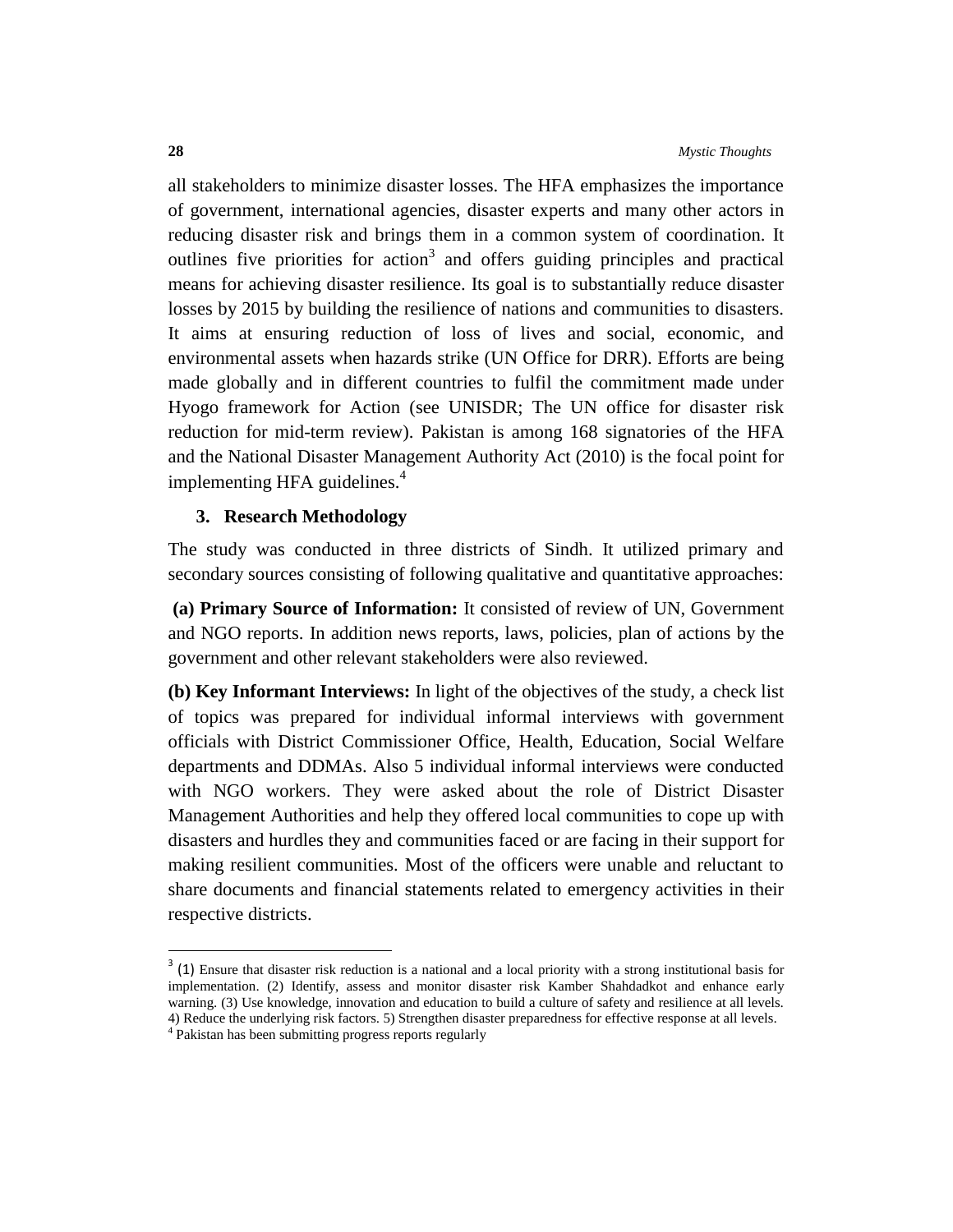all stakeholders to minimize disaster losses. The HFA emphasizes the importance of government, international agencies, disaster experts and many other actors in reducing disaster risk and brings them in a common system of coordination. It outlines five priorities for action<sup>3</sup> and offers guiding principles and practical means for achieving disaster resilience. Its goal is to substantially reduce disaster losses by 2015 by building the resilience of nations and communities to disasters. It aims at ensuring reduction of loss of lives and social, economic, and environmental assets when hazards strike (UN Office for DRR). Efforts are being made globally and in different countries to fulfil the commitment made under Hyogo framework for Action (see UNISDR; The UN office for disaster risk reduction for mid-term review). Pakistan is among 168 signatories of the HFA and the National Disaster Management Authority Act (2010) is the focal point for implementing HFA guidelines. $4$ 

# **3. Research Methodology**

The study was conducted in three districts of Sindh. It utilized primary and secondary sources consisting of following qualitative and quantitative approaches:

**(a) Primary Source of Information:** It consisted of review of UN, Government and NGO reports. In addition news reports, laws, policies, plan of actions by the government and other relevant stakeholders were also reviewed.

**(b) Key Informant Interviews:** In light of the objectives of the study, a check list of topics was prepared for individual informal interviews with government officials with District Commissioner Office, Health, Education, Social Welfare departments and DDMAs. Also 5 individual informal interviews were conducted with NGO workers. They were asked about the role of District Disaster Management Authorities and help they offered local communities to cope up with disasters and hurdles they and communities faced or are facing in their support for making resilient communities. Most of the officers were unable and reluctant to share documents and financial statements related to emergency activities in their respective districts.

 $\overline{a}$ 

 $3$  (1) Ensure that disaster risk reduction is a national and a local priority with a strong institutional basis for implementation. (2) Identify, assess and monitor disaster risk Kamber Shahdadkot and enhance early warning. (3) Use knowledge, innovation and education to build a culture of safety and resilience at all levels. 4) Reduce the underlying risk factors. 5) Strengthen disaster preparedness for effective response at all levels.

<sup>4</sup> Pakistan has been submitting progress reports regularly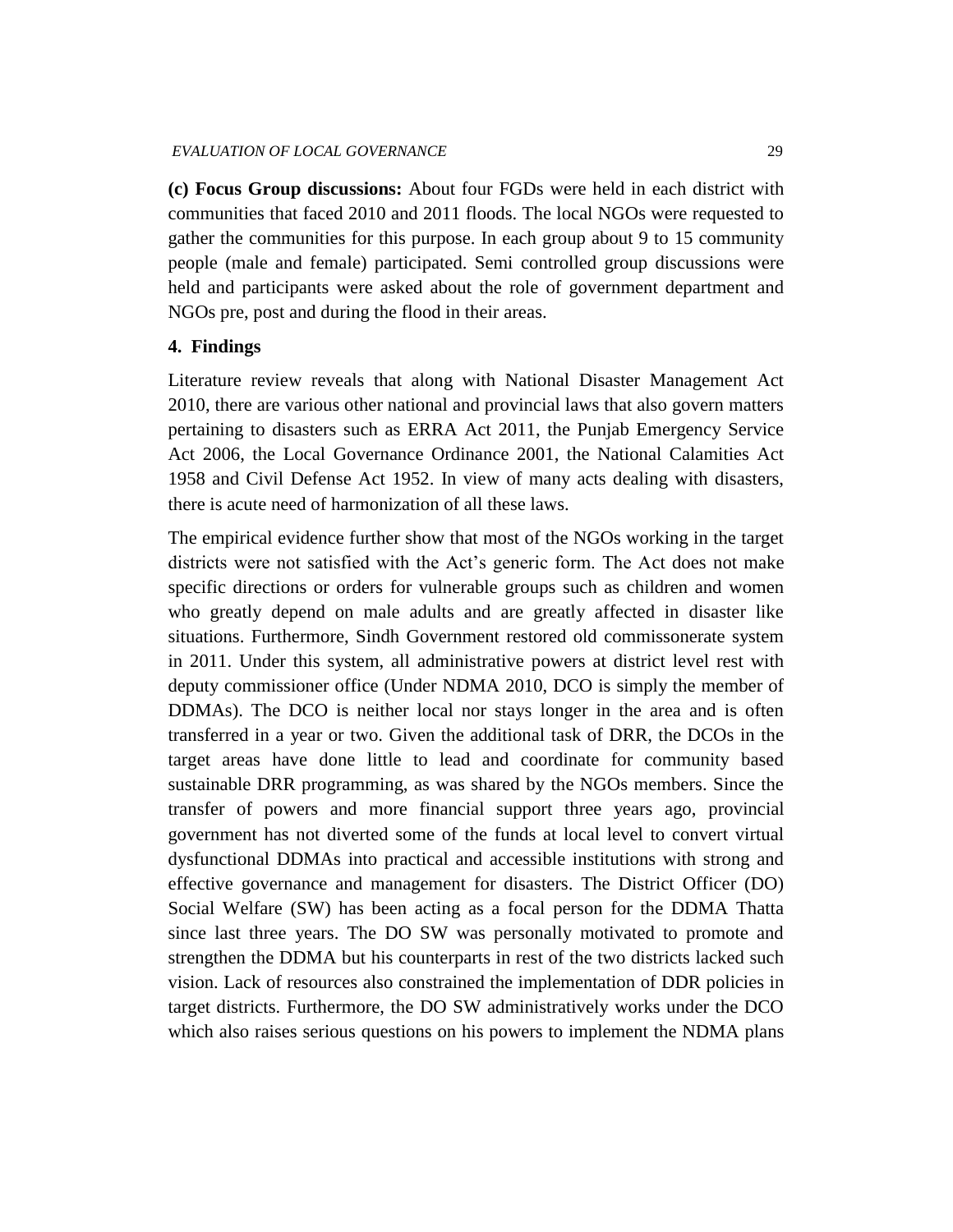**(c) Focus Group discussions:** About four FGDs were held in each district with communities that faced 2010 and 2011 floods. The local NGOs were requested to gather the communities for this purpose. In each group about 9 to 15 community people (male and female) participated. Semi controlled group discussions were held and participants were asked about the role of government department and NGOs pre, post and during the flood in their areas.

# **4. Findings**

Literature review reveals that along with National Disaster Management Act 2010, there are various other national and provincial laws that also govern matters pertaining to disasters such as ERRA Act 2011, the Punjab Emergency Service Act 2006, the Local Governance Ordinance 2001, the National Calamities Act 1958 and Civil Defense Act 1952. In view of many acts dealing with disasters, there is acute need of harmonization of all these laws.

The empirical evidence further show that most of the NGOs working in the target districts were not satisfied with the Act's generic form. The Act does not make specific directions or orders for vulnerable groups such as children and women who greatly depend on male adults and are greatly affected in disaster like situations. Furthermore, Sindh Government restored old commissonerate system in 2011. Under this system, all administrative powers at district level rest with deputy commissioner office (Under NDMA 2010, DCO is simply the member of DDMAs). The DCO is neither local nor stays longer in the area and is often transferred in a year or two. Given the additional task of DRR, the DCOs in the target areas have done little to lead and coordinate for community based sustainable DRR programming, as was shared by the NGOs members. Since the transfer of powers and more financial support three years ago, provincial government has not diverted some of the funds at local level to convert virtual dysfunctional DDMAs into practical and accessible institutions with strong and effective governance and management for disasters. The District Officer (DO) Social Welfare (SW) has been acting as a focal person for the DDMA Thatta since last three years. The DO SW was personally motivated to promote and strengthen the DDMA but his counterparts in rest of the two districts lacked such vision. Lack of resources also constrained the implementation of DDR policies in target districts. Furthermore, the DO SW administratively works under the DCO which also raises serious questions on his powers to implement the NDMA plans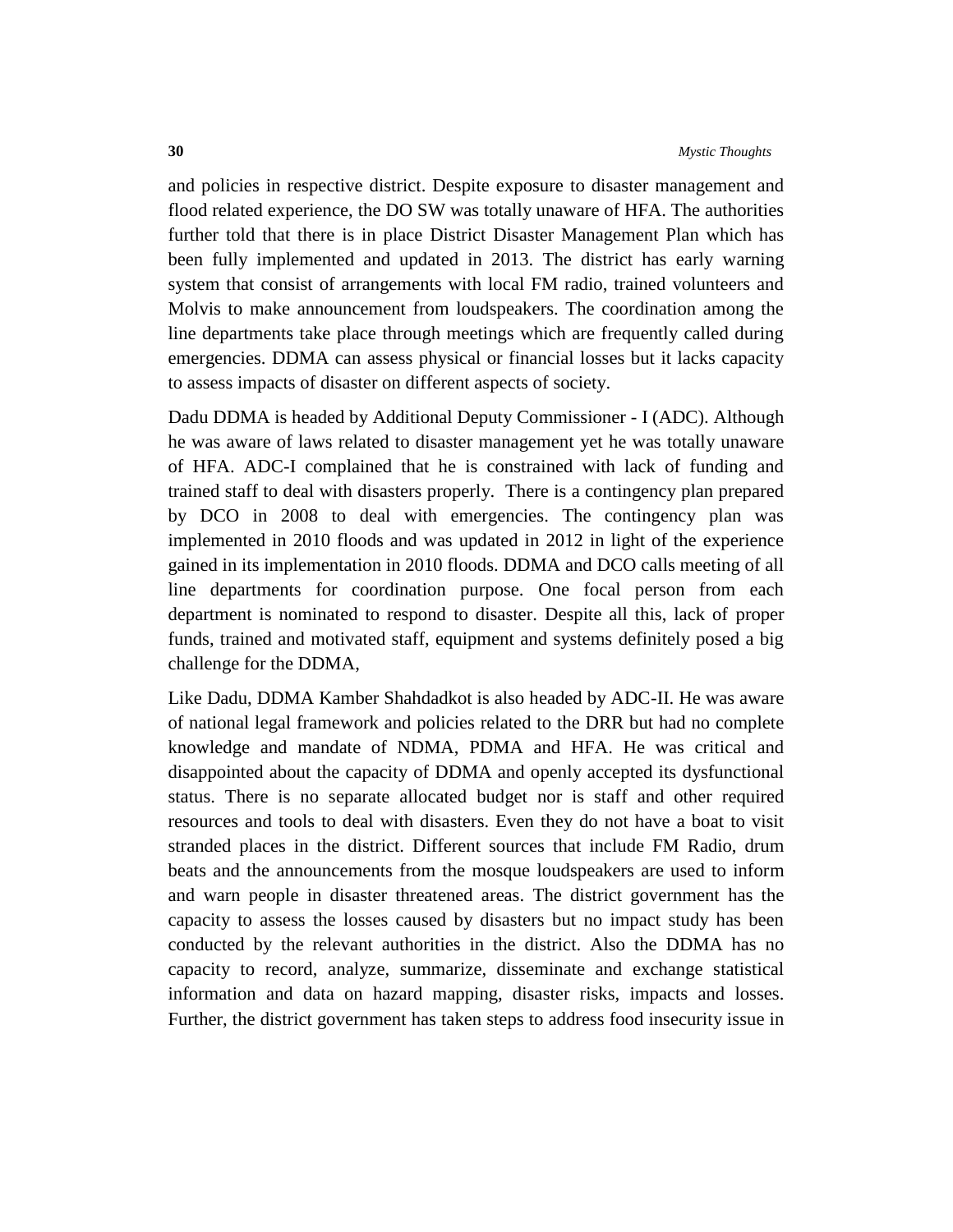and policies in respective district. Despite exposure to disaster management and flood related experience, the DO SW was totally unaware of HFA. The authorities further told that there is in place District Disaster Management Plan which has been fully implemented and updated in 2013. The district has early warning system that consist of arrangements with local FM radio, trained volunteers and Molvis to make announcement from loudspeakers. The coordination among the line departments take place through meetings which are frequently called during emergencies. DDMA can assess physical or financial losses but it lacks capacity to assess impacts of disaster on different aspects of society.

Dadu DDMA is headed by Additional Deputy Commissioner - I (ADC). Although he was aware of laws related to disaster management yet he was totally unaware of HFA. ADC-I complained that he is constrained with lack of funding and trained staff to deal with disasters properly. There is a contingency plan prepared by DCO in 2008 to deal with emergencies. The contingency plan was implemented in 2010 floods and was updated in 2012 in light of the experience gained in its implementation in 2010 floods. DDMA and DCO calls meeting of all line departments for coordination purpose. One focal person from each department is nominated to respond to disaster. Despite all this, lack of proper funds, trained and motivated staff, equipment and systems definitely posed a big challenge for the DDMA,

Like Dadu, DDMA Kamber Shahdadkot is also headed by ADC-II. He was aware of national legal framework and policies related to the DRR but had no complete knowledge and mandate of NDMA, PDMA and HFA. He was critical and disappointed about the capacity of DDMA and openly accepted its dysfunctional status. There is no separate allocated budget nor is staff and other required resources and tools to deal with disasters. Even they do not have a boat to visit stranded places in the district. Different sources that include FM Radio, drum beats and the announcements from the mosque loudspeakers are used to inform and warn people in disaster threatened areas. The district government has the capacity to assess the losses caused by disasters but no impact study has been conducted by the relevant authorities in the district. Also the DDMA has no capacity to record, analyze, summarize, disseminate and exchange statistical information and data on hazard mapping, disaster risks, impacts and losses. Further, the district government has taken steps to address food insecurity issue in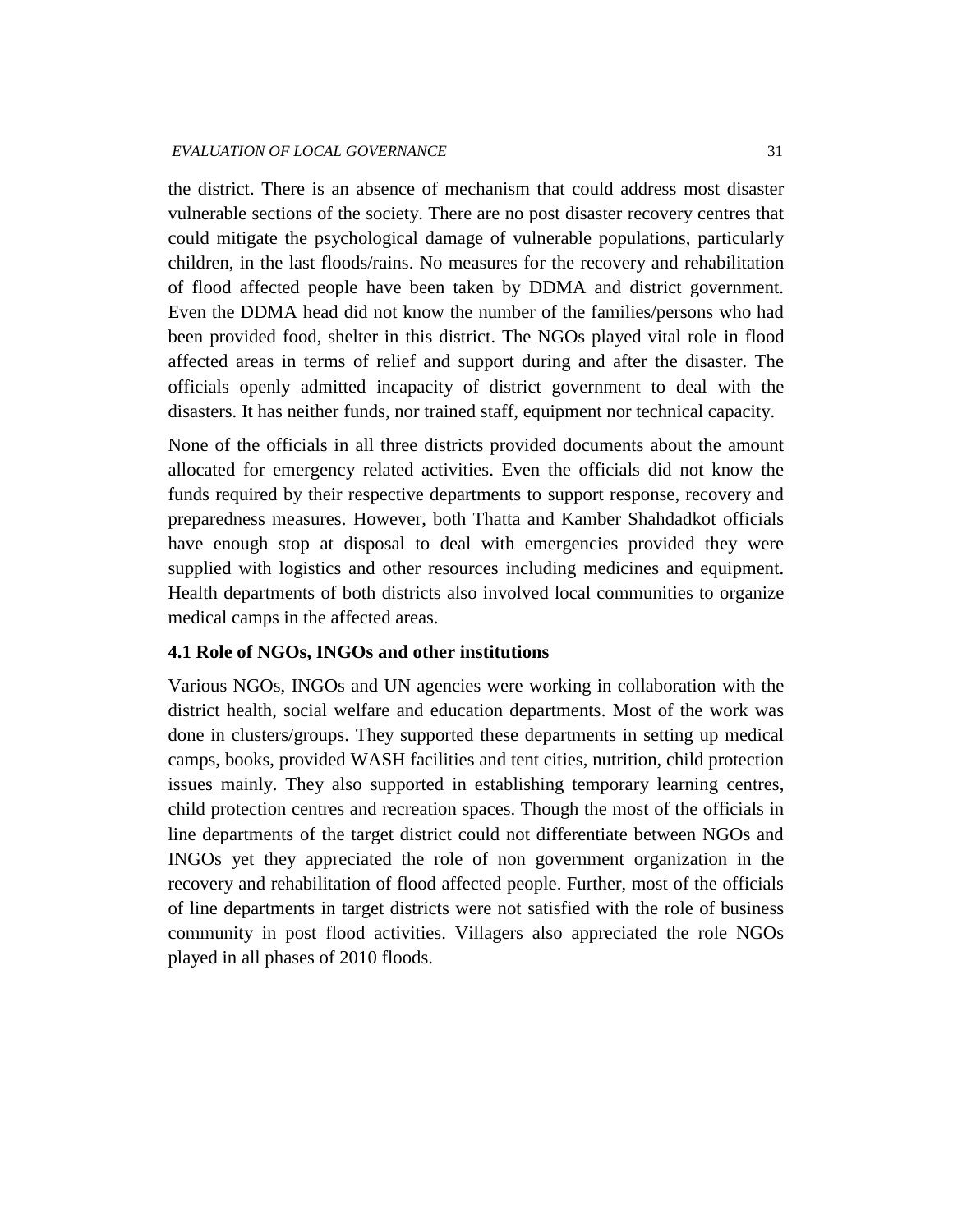the district. There is an absence of mechanism that could address most disaster vulnerable sections of the society. There are no post disaster recovery centres that could mitigate the psychological damage of vulnerable populations, particularly children, in the last floods/rains. No measures for the recovery and rehabilitation of flood affected people have been taken by DDMA and district government. Even the DDMA head did not know the number of the families/persons who had been provided food, shelter in this district. The NGOs played vital role in flood affected areas in terms of relief and support during and after the disaster. The officials openly admitted incapacity of district government to deal with the disasters. It has neither funds, nor trained staff, equipment nor technical capacity.

None of the officials in all three districts provided documents about the amount allocated for emergency related activities. Even the officials did not know the funds required by their respective departments to support response, recovery and preparedness measures. However, both Thatta and Kamber Shahdadkot officials have enough stop at disposal to deal with emergencies provided they were supplied with logistics and other resources including medicines and equipment. Health departments of both districts also involved local communities to organize medical camps in the affected areas.

### **4.1 Role of NGOs, INGOs and other institutions**

Various NGOs, INGOs and UN agencies were working in collaboration with the district health, social welfare and education departments. Most of the work was done in clusters/groups. They supported these departments in setting up medical camps, books, provided WASH facilities and tent cities, nutrition, child protection issues mainly. They also supported in establishing temporary learning centres, child protection centres and recreation spaces. Though the most of the officials in line departments of the target district could not differentiate between NGOs and INGOs yet they appreciated the role of non government organization in the recovery and rehabilitation of flood affected people. Further, most of the officials of line departments in target districts were not satisfied with the role of business community in post flood activities. Villagers also appreciated the role NGOs played in all phases of 2010 floods.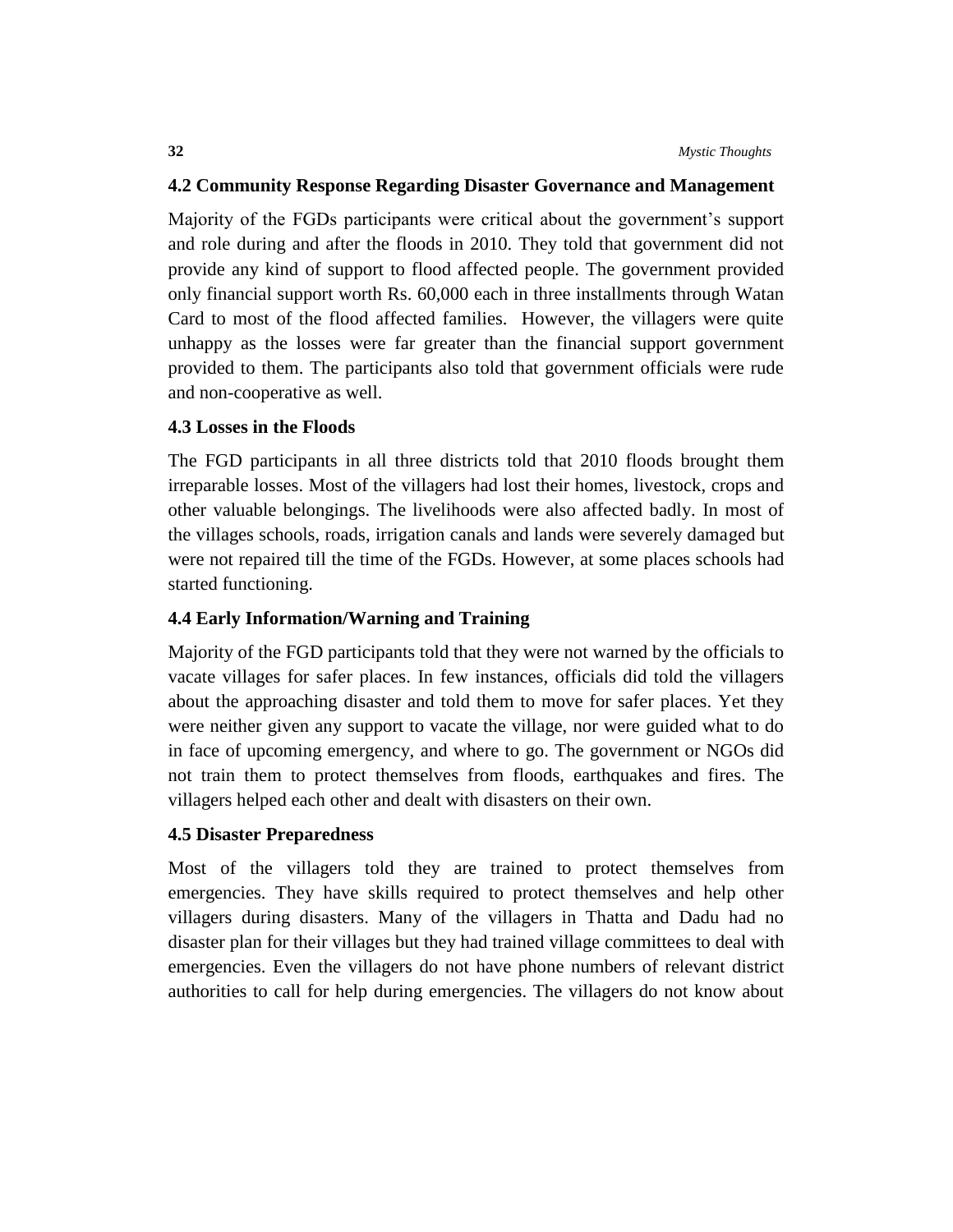#### **4.2 Community Response Regarding Disaster Governance and Management**

Majority of the FGDs participants were critical about the government's support and role during and after the floods in 2010. They told that government did not provide any kind of support to flood affected people. The government provided only financial support worth Rs. 60,000 each in three installments through Watan Card to most of the flood affected families. However, the villagers were quite unhappy as the losses were far greater than the financial support government provided to them. The participants also told that government officials were rude and non-cooperative as well.

# **4.3 Losses in the Floods**

The FGD participants in all three districts told that 2010 floods brought them irreparable losses. Most of the villagers had lost their homes, livestock, crops and other valuable belongings. The livelihoods were also affected badly. In most of the villages schools, roads, irrigation canals and lands were severely damaged but were not repaired till the time of the FGDs. However, at some places schools had started functioning.

### **4.4 Early Information/Warning and Training**

Majority of the FGD participants told that they were not warned by the officials to vacate villages for safer places. In few instances, officials did told the villagers about the approaching disaster and told them to move for safer places. Yet they were neither given any support to vacate the village, nor were guided what to do in face of upcoming emergency, and where to go. The government or NGOs did not train them to protect themselves from floods, earthquakes and fires. The villagers helped each other and dealt with disasters on their own.

#### **4.5 Disaster Preparedness**

Most of the villagers told they are trained to protect themselves from emergencies. They have skills required to protect themselves and help other villagers during disasters. Many of the villagers in Thatta and Dadu had no disaster plan for their villages but they had trained village committees to deal with emergencies. Even the villagers do not have phone numbers of relevant district authorities to call for help during emergencies. The villagers do not know about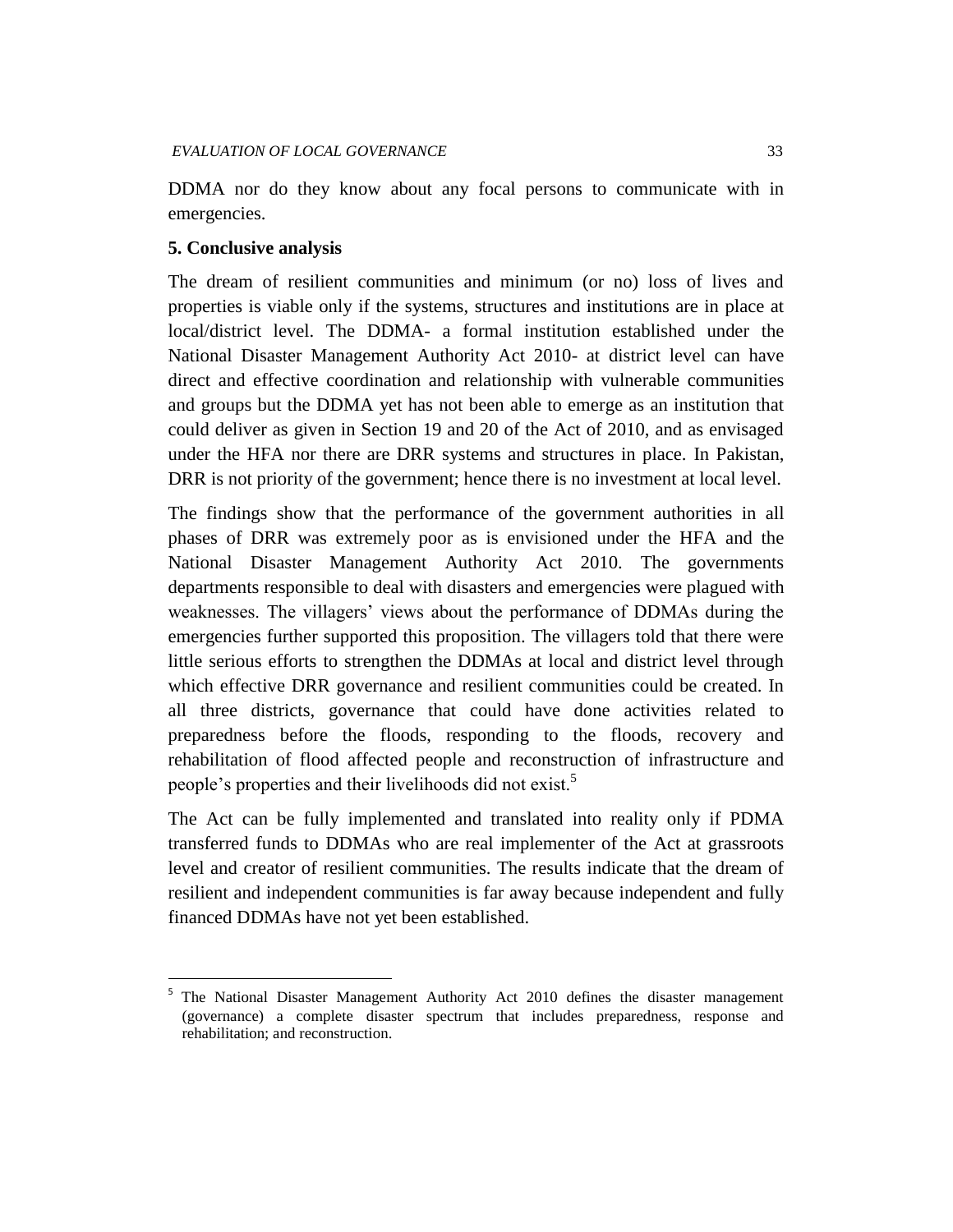DDMA nor do they know about any focal persons to communicate with in emergencies.

### **5. Conclusive analysis**

 $\overline{a}$ 

The dream of resilient communities and minimum (or no) loss of lives and properties is viable only if the systems, structures and institutions are in place at local/district level. The DDMA- a formal institution established under the National Disaster Management Authority Act 2010- at district level can have direct and effective coordination and relationship with vulnerable communities and groups but the DDMA yet has not been able to emerge as an institution that could deliver as given in Section 19 and 20 of the Act of 2010, and as envisaged under the HFA nor there are DRR systems and structures in place. In Pakistan, DRR is not priority of the government; hence there is no investment at local level.

The findings show that the performance of the government authorities in all phases of DRR was extremely poor as is envisioned under the HFA and the National Disaster Management Authority Act 2010. The governments departments responsible to deal with disasters and emergencies were plagued with weaknesses. The villagers' views about the performance of DDMAs during the emergencies further supported this proposition. The villagers told that there were little serious efforts to strengthen the DDMAs at local and district level through which effective DRR governance and resilient communities could be created. In all three districts, governance that could have done activities related to preparedness before the floods, responding to the floods, recovery and rehabilitation of flood affected people and reconstruction of infrastructure and people's properties and their livelihoods did not exist.<sup>5</sup>

The Act can be fully implemented and translated into reality only if PDMA transferred funds to DDMAs who are real implementer of the Act at grassroots level and creator of resilient communities. The results indicate that the dream of resilient and independent communities is far away because independent and fully financed DDMAs have not yet been established.

<sup>5</sup> The National Disaster Management Authority Act 2010 defines the disaster management (governance) a complete disaster spectrum that includes preparedness, response and rehabilitation; and reconstruction.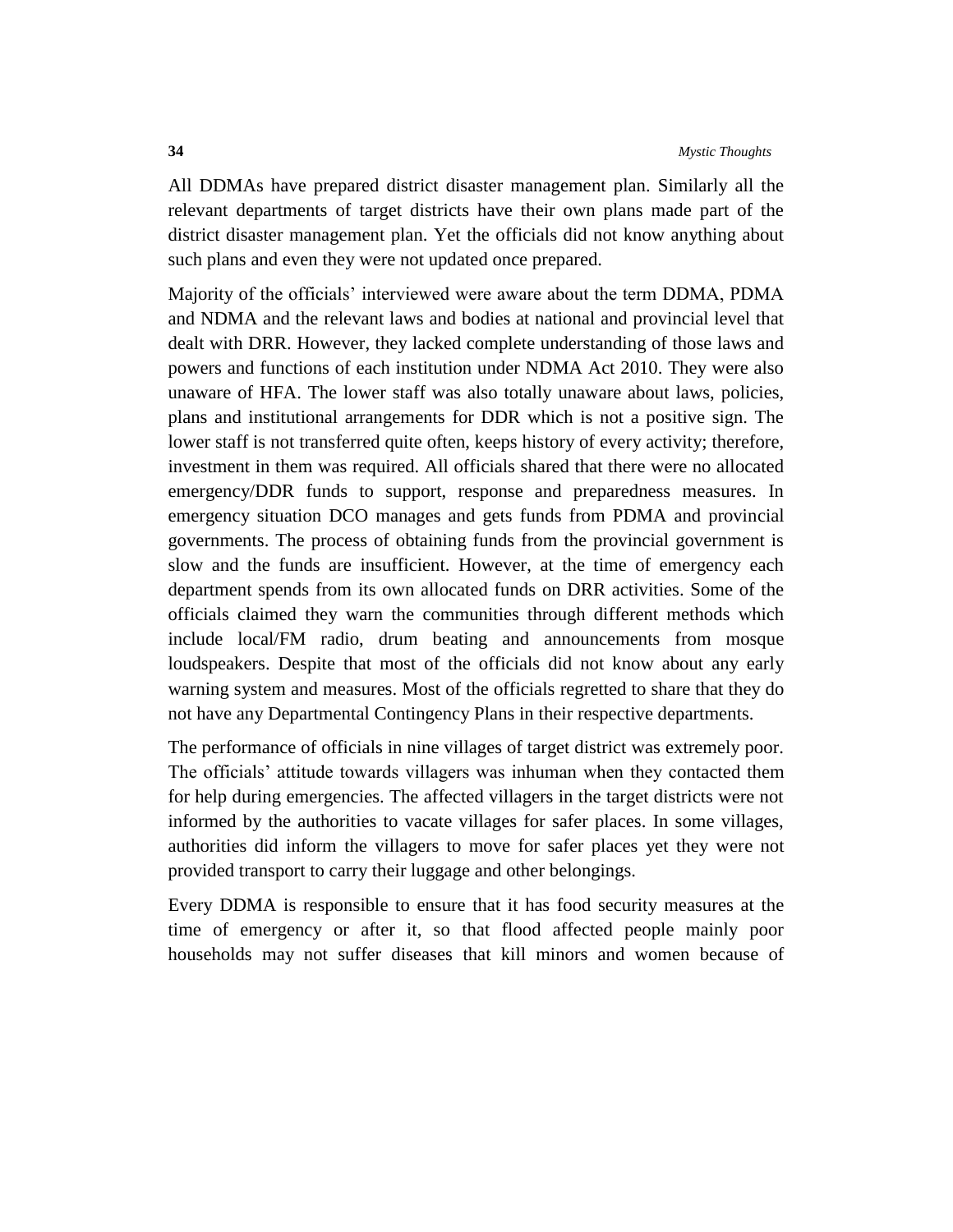All DDMAs have prepared district disaster management plan. Similarly all the relevant departments of target districts have their own plans made part of the district disaster management plan. Yet the officials did not know anything about such plans and even they were not updated once prepared.

Majority of the officials' interviewed were aware about the term DDMA, PDMA and NDMA and the relevant laws and bodies at national and provincial level that dealt with DRR. However, they lacked complete understanding of those laws and powers and functions of each institution under NDMA Act 2010. They were also unaware of HFA. The lower staff was also totally unaware about laws, policies, plans and institutional arrangements for DDR which is not a positive sign. The lower staff is not transferred quite often, keeps history of every activity; therefore, investment in them was required. All officials shared that there were no allocated emergency/DDR funds to support, response and preparedness measures. In emergency situation DCO manages and gets funds from PDMA and provincial governments. The process of obtaining funds from the provincial government is slow and the funds are insufficient. However, at the time of emergency each department spends from its own allocated funds on DRR activities. Some of the officials claimed they warn the communities through different methods which include local/FM radio, drum beating and announcements from mosque loudspeakers. Despite that most of the officials did not know about any early warning system and measures. Most of the officials regretted to share that they do not have any Departmental Contingency Plans in their respective departments.

The performance of officials in nine villages of target district was extremely poor. The officials' attitude towards villagers was inhuman when they contacted them for help during emergencies. The affected villagers in the target districts were not informed by the authorities to vacate villages for safer places. In some villages, authorities did inform the villagers to move for safer places yet they were not provided transport to carry their luggage and other belongings.

Every DDMA is responsible to ensure that it has food security measures at the time of emergency or after it, so that flood affected people mainly poor households may not suffer diseases that kill minors and women because of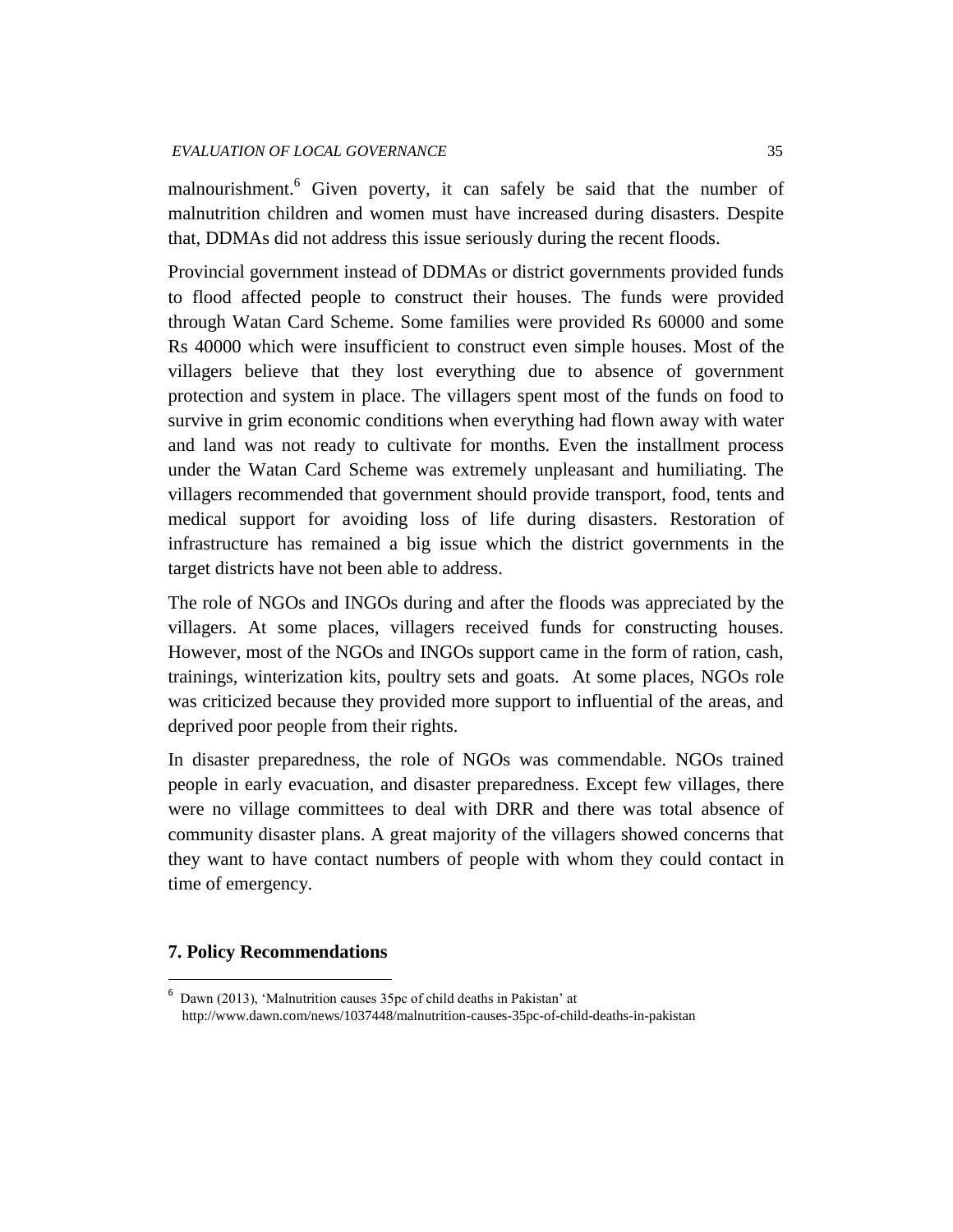#### *EVALUATION OF LOCAL GOVERNANCE* 35

malnourishment.<sup>6</sup> Given poverty, it can safely be said that the number of malnutrition children and women must have increased during disasters. Despite that, DDMAs did not address this issue seriously during the recent floods.

Provincial government instead of DDMAs or district governments provided funds to flood affected people to construct their houses. The funds were provided through Watan Card Scheme. Some families were provided Rs 60000 and some Rs 40000 which were insufficient to construct even simple houses. Most of the villagers believe that they lost everything due to absence of government protection and system in place. The villagers spent most of the funds on food to survive in grim economic conditions when everything had flown away with water and land was not ready to cultivate for months. Even the installment process under the Watan Card Scheme was extremely unpleasant and humiliating. The villagers recommended that government should provide transport, food, tents and medical support for avoiding loss of life during disasters. Restoration of infrastructure has remained a big issue which the district governments in the target districts have not been able to address.

The role of NGOs and INGOs during and after the floods was appreciated by the villagers. At some places, villagers received funds for constructing houses. However, most of the NGOs and INGOs support came in the form of ration, cash, trainings, winterization kits, poultry sets and goats. At some places, NGOs role was criticized because they provided more support to influential of the areas, and deprived poor people from their rights.

In disaster preparedness, the role of NGOs was commendable. NGOs trained people in early evacuation, and disaster preparedness. Except few villages, there were no village committees to deal with DRR and there was total absence of community disaster plans. A great majority of the villagers showed concerns that they want to have contact numbers of people with whom they could contact in time of emergency.

# **7. Policy Recommendations**

 $\overline{a}$ 

<sup>6</sup> Dawn (2013), 'Malnutrition causes 35pc of child deaths in Pakistan' at http://www.dawn.com/news/1037448/malnutrition-causes-35pc-of-child-deaths-in-pakistan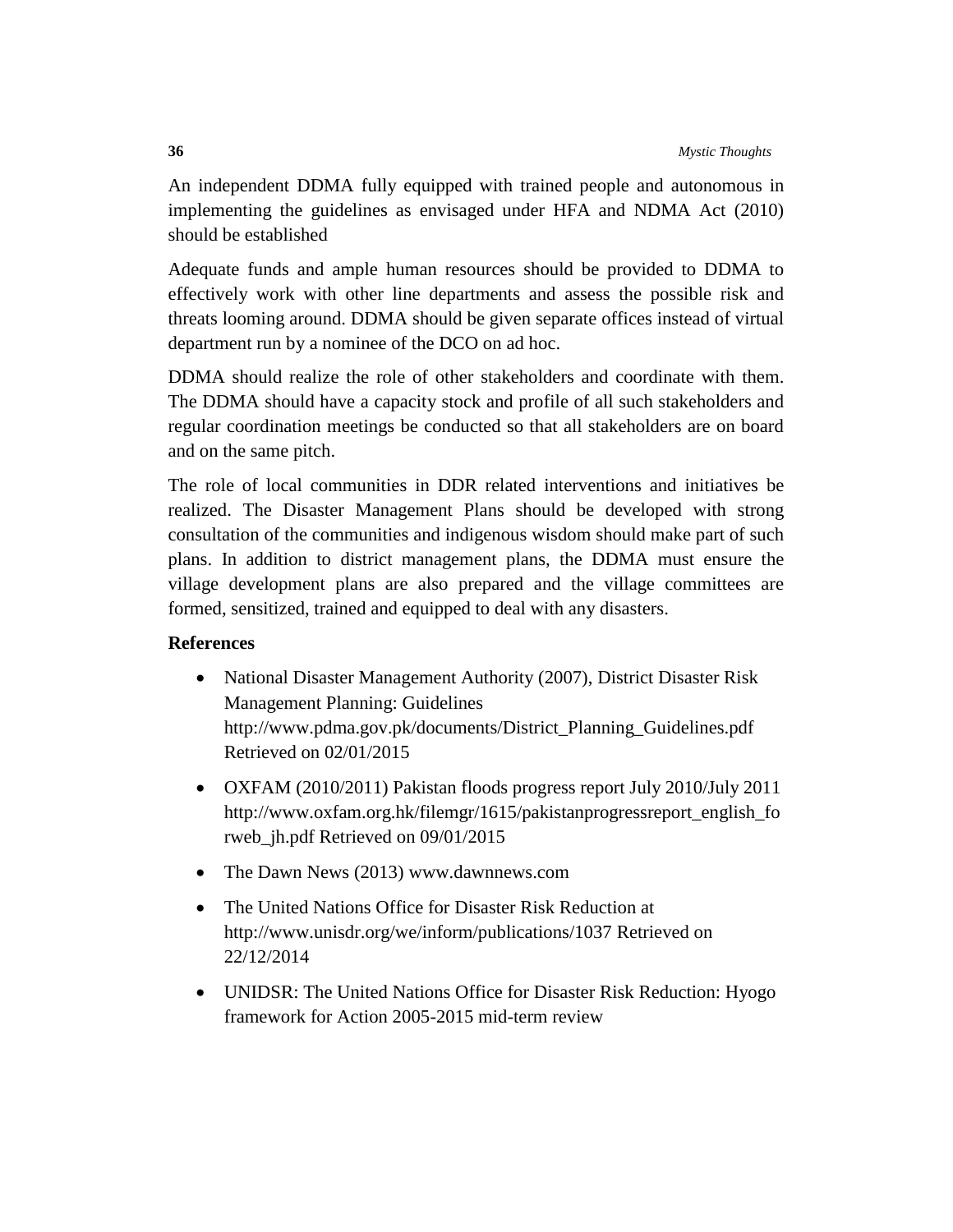An independent DDMA fully equipped with trained people and autonomous in implementing the guidelines as envisaged under HFA and NDMA Act (2010) should be established

Adequate funds and ample human resources should be provided to DDMA to effectively work with other line departments and assess the possible risk and threats looming around. DDMA should be given separate offices instead of virtual department run by a nominee of the DCO on ad hoc.

DDMA should realize the role of other stakeholders and coordinate with them. The DDMA should have a capacity stock and profile of all such stakeholders and regular coordination meetings be conducted so that all stakeholders are on board and on the same pitch.

The role of local communities in DDR related interventions and initiatives be realized. The Disaster Management Plans should be developed with strong consultation of the communities and indigenous wisdom should make part of such plans. In addition to district management plans, the DDMA must ensure the village development plans are also prepared and the village committees are formed, sensitized, trained and equipped to deal with any disasters.

# **References**

- National Disaster Management Authority (2007), District Disaster Risk Management Planning: Guidelines [http://www.pdma.gov.pk/documents/District\\_Planning\\_Guidelines.pdf](http://www.pdma.gov.pk/documents/District_Planning_Guidelines.pdf) Retrieved on 02/01/2015
- OXFAM (2010/2011) Pakistan floods progress report July 2010/July 2011 [http://www.oxfam.org.hk/filemgr/1615/pakistanprogressreport\\_english\\_fo](http://www.oxfam.org.hk/filemgr/1615/pakistanprogressreport_english_forweb_jh.pdf) [rweb\\_jh.pdf](http://www.oxfam.org.hk/filemgr/1615/pakistanprogressreport_english_forweb_jh.pdf) Retrieved on 09/01/2015
- The Dawn News (2013) [www.dawnnews.com](http://www.dawnnews.com/)
- The United Nations Office for Disaster Risk Reduction at <http://www.unisdr.org/we/inform/publications/1037> Retrieved on 22/12/2014
- UNIDSR: The United Nations Office for Disaster Risk Reduction: Hyogo framework for Action 2005-2015 mid-term review